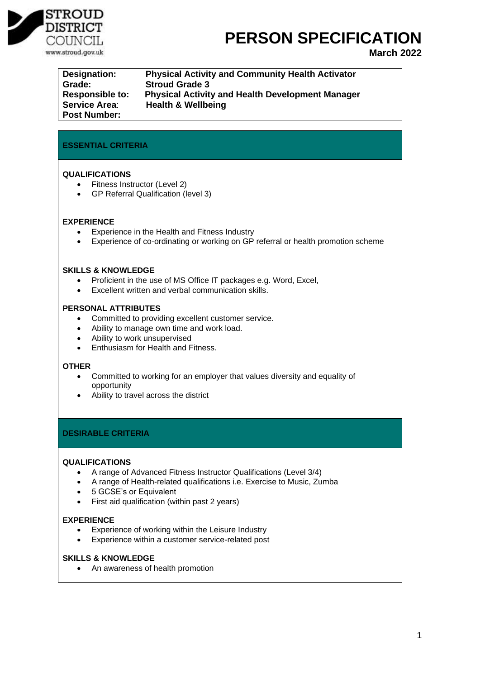

# **PERSON SPECIFICATION**

**March 2022**

| Designation:           | <b>Physical Activity and Community Health Activator</b> |
|------------------------|---------------------------------------------------------|
| Grade:                 | <b>Stroud Grade 3</b>                                   |
| <b>Responsible to:</b> | <b>Physical Activity and Health Development Manager</b> |
| <b>Service Area:</b>   | <b>Health &amp; Wellbeing</b>                           |
| <b>Post Number:</b>    |                                                         |

## **ESSENTIAL CRITERIA**

#### **QUALIFICATIONS**

- Fitness Instructor (Level 2)
- GP Referral Qualification (level 3)

#### **EXPERIENCE**

- Experience in the Health and Fitness Industry
- Experience of co-ordinating or working on GP referral or health promotion scheme

#### **SKILLS & KNOWLEDGE**

- Proficient in the use of MS Office IT packages e.g. Word, Excel,
- Excellent written and verbal communication skills.

#### **PERSONAL ATTRIBUTES**

- Committed to providing excellent customer service.
- Ability to manage own time and work load.
- Ability to work unsupervised
- Enthusiasm for Health and Fitness.

#### **OTHER**

- Committed to working for an employer that values diversity and equality of opportunity
- Ability to travel across the district

### **DESIRABLE CRITERIA**

#### **QUALIFICATIONS**

- A range of Advanced Fitness Instructor Qualifications (Level 3/4)
- A range of Health-related qualifications i.e. Exercise to Music, Zumba
- 5 GCSE's or Equivalent
- First aid qualification (within past 2 years)

### **EXPERIENCE**

- Experience of working within the Leisure Industry
- Experience within a customer service-related post

#### **SKILLS & KNOWLEDGE**

• An awareness of health promotion